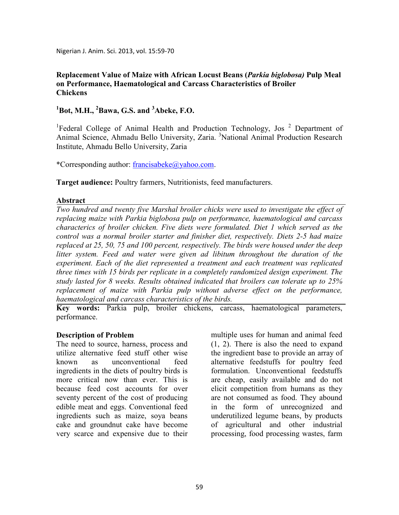Nigerian J. Anim. Sci. 2013, vol. 15:59-70

## **Replacement Value of Maize with African Locust Beans (***Parkia biglobosa)* **Pulp Meal on Performance, Haematological and Carcass Characteristics of Broiler Chickens**

## **<sup>1</sup>Bot, M.H., <sup>2</sup>Bawa, G.S. and <sup>3</sup>Abeke, F.O.**

<sup>1</sup>Federal College of Animal Health and Production Technology, Jos<sup>2</sup> Department of Animal Science, Ahmadu Bello University, Zaria. <sup>3</sup>National Animal Production Research Institute, Ahmadu Bello University, Zaria

\*Corresponding author: francisabeke@yahoo.com.

**Target audience:** Poultry farmers, Nutritionists, feed manufacturers.

### **Abstract**

*Two hundred and twenty five Marshal broiler chicks were used to investigate the effect of replacing maize with Parkia biglobosa pulp on performance, haematological and carcass characterics of broiler chicken. Five diets were formulated. Diet 1 which served as the control was a normal broiler starter and finisher diet, respectively. Diets 2-5 had maize replaced at 25, 50, 75 and 100 percent, respectively. The birds were housed under the deep litter system. Feed and water were given ad libitum throughout the duration of the experiment. Each of the diet represented a treatment and each treatment was replicated three times with 15 birds per replicate in a completely randomized design experiment. The study lasted for 8 weeks. Results obtained indicated that broilers can tolerate up to 25% replacement of maize with Parkia pulp without adverse effect on the performance, haematological and carcass characteristics of the birds.* 

**Key words:** Parkia pulp, broiler chickens, carcass, haematological parameters, performance.

### **Description of Problem**

The need to source, harness, process and utilize alternative feed stuff other wise known as unconventional feed ingredients in the diets of poultry birds is more critical now than ever. This is because feed cost accounts for over seventy percent of the cost of producing edible meat and eggs. Conventional feed ingredients such as maize, soya beans cake and groundnut cake have become very scarce and expensive due to their

multiple uses for human and animal feed (1, 2). There is also the need to expand the ingredient base to provide an array of alternative feedstuffs for poultry feed formulation. Unconventional feedstuffs are cheap, easily available and do not elicit competition from humans as they are not consumed as food. They abound in the form of unrecognized and underutilized legume beans, by products of agricultural and other industrial processing, food processing wastes, farm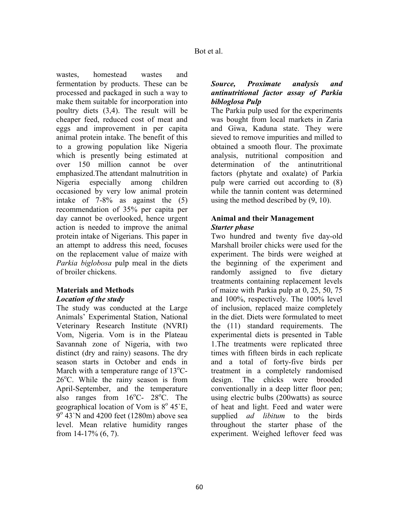wastes, homestead wastes and fermentation by products. These can be processed and packaged in such a way to make them suitable for incorporation into poultry diets (3,4). The result will be cheaper feed, reduced cost of meat and eggs and improvement in per capita animal protein intake. The benefit of this to a growing population like Nigeria which is presently being estimated at over 150 million cannot be over emphasized.The attendant malnutrition in Nigeria especially among children occasioned by very low animal protein intake of 7-8% as against the (5) recommendation of 35% per capita per day cannot be overlooked, hence urgent action is needed to improve the animal protein intake of Nigerians. This paper in an attempt to address this need, focuses on the replacement value of maize with *Parkia biglobosa* pulp meal in the diets of broiler chickens.

# **Materials and Methods** *Location of the study*

The study was conducted at the Large Animals' Experimental Station, National Veterinary Research Institute (NVRI) Vom, Nigeria. Vom is in the Plateau Savannah zone of Nigeria, with two distinct (dry and rainy) seasons. The dry season starts in October and ends in March with a temperature range of  $13^{\circ}$ C- $26^{\circ}$ C. While the rainy season is from April-September, and the temperature also ranges from  $16^{\circ}$ C-  $28^{\circ}$ C. The geographical location of Vom is 8° 45'E,  $9^{\circ}$  43`N and 4200 feet (1280m) above sea level. Mean relative humidity ranges from 14-17% (6, 7).

## *Source, Proximate analysis and antinutritional factor assay of Parkia bibloglosa Pulp*

The Parkia pulp used for the experiments was bought from local markets in Zaria and Giwa, Kaduna state. They were sieved to remove impurities and milled to obtained a smooth flour. The proximate analysis, nutritional composition and determination of the antinutritional factors (phytate and oxalate) of Parkia pulp were carried out according to (8) while the tannin content was determined using the method described by (9, 10).

## **Animal and their Management**  *Starter phase*

Two hundred and twenty five day-old Marshall broiler chicks were used for the experiment. The birds were weighed at the beginning of the experiment and randomly assigned to five dietary treatments containing replacement levels of maize with Parkia pulp at 0, 25, 50, 75 and 100%, respectively. The 100% level of inclusion, replaced maize completely in the diet. Diets were formulated to meet the (11) standard requirements. The experimental diets is presented in Table 1.The treatments were replicated three times with fifteen birds in each replicate and a total of forty-five birds per treatment in a completely randomised design. The chicks were brooded conventionally in a deep litter floor pen; using electric bulbs (200watts) as source of heat and light. Feed and water were supplied *ad libitum* to the birds throughout the starter phase of the experiment. Weighed leftover feed was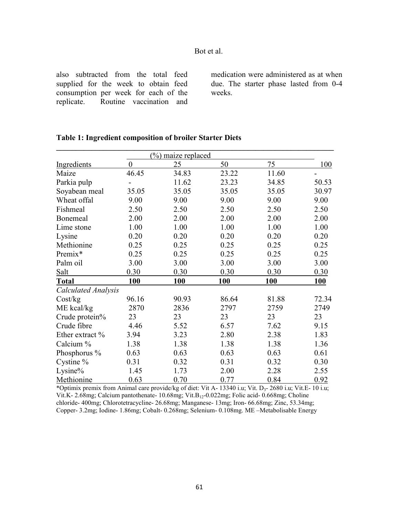also subtracted from the total feed supplied for the week to obtain feed consumption per week for each of the replicate. Routine vaccination and medication were administered as at when due. The starter phase lasted from 0-4 weeks.

|                            |                  | (%) maize replaced |       |       |            |
|----------------------------|------------------|--------------------|-------|-------|------------|
| <b>Ingredients</b>         | $\boldsymbol{0}$ | 25                 | 50    | 75    | 100        |
| Maize                      | 46.45            | 34.83              | 23.22 | 11.60 |            |
| Parkia pulp                |                  | 11.62              | 23.23 | 34.85 | 50.53      |
| Soyabean meal              | 35.05            | 35.05              | 35.05 | 35.05 | 30.97      |
| Wheat offal                | 9.00             | 9.00               | 9.00  | 9.00  | 9.00       |
| Fishmeal                   | 2.50             | 2.50               | 2.50  | 2.50  | 2.50       |
| Bonemeal                   | 2.00             | 2.00               | 2.00  | 2.00  | 2.00       |
| Lime stone                 | 1.00             | 1.00               | 1.00  | 1.00  | 1.00       |
| Lysine                     | 0.20             | 0.20               | 0.20  | 0.20  | 0.20       |
| Methionine                 | 0.25             | 0.25               | 0.25  | 0.25  | 0.25       |
| Premix*                    | 0.25             | 0.25               | 0.25  | 0.25  | 0.25       |
| Palm oil                   | 3.00             | 3.00               | 3.00  | 3.00  | 3.00       |
| Salt                       | 0.30             | 0.30               | 0.30  | 0.30  | 0.30       |
| Total                      | <b>100</b>       | <b>100</b>         | 100   | 100   | <b>100</b> |
| <b>Calculated Analysis</b> |                  |                    |       |       |            |
| Cost/kg                    | 96.16            | 90.93              | 86.64 | 81.88 | 72.34      |
| ME kcal/kg                 | 2870             | 2836               | 2797  | 2759  | 2749       |
| Crude protein%             | 23               | 23                 | 23    | 23    | 23         |
| Crude fibre                | 4.46             | 5.52               | 6.57  | 7.62  | 9.15       |
| Ether extract %            | 3.94             | 3.23               | 2.80  | 2.38  | 1.83       |
| Calcium %                  | 1.38             | 1.38               | 1.38  | 1.38  | 1.36       |
| Phosphorus %               | 0.63             | 0.63               | 0.63  | 0.63  | 0.61       |
| Cystine %                  | 0.31             | 0.32               | 0.31  | 0.32  | 0.30       |
| Lysine $%$                 | 1.45             | 1.73               | 2.00  | 2.28  | 2.55       |
| Methionine                 | 0.63             | 0.70               | 0.77  | 0.84  | 0.92       |

### **Table 1: Ingredient composition of broiler Starter Diets**

\*Optimix premix from Animal care provide/kg of diet: Vit A- 13340 i.u; Vit. D3- 2680 i.u; Vit.E- 10 i.u; Vit.K- 2.68mg; Calcium pantothenate- 10.68mg; Vit.B<sub>12</sub>-0.022mg; Folic acid- 0.668mg; Choline chloride- 400mg; Chlorotetracycline- 26.68mg; Manganese- 13mg; Iron- 66.68mg; Zinc, 53.34mg; Copper- 3.2mg; Iodine- 1.86mg; Cobalt- 0.268mg; Selenium- 0.108mg. ME –Metabolisable Energy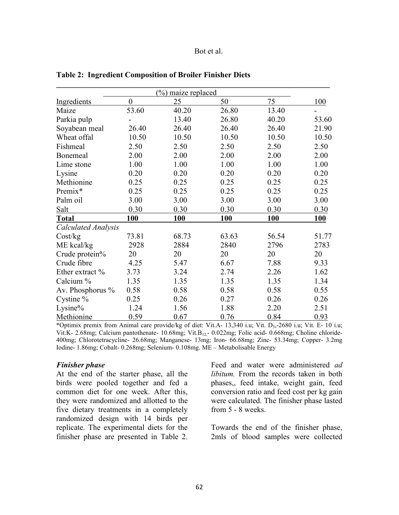|                            |                  | (%) maize replaced |            |            |       |
|----------------------------|------------------|--------------------|------------|------------|-------|
| Ingredients                | $\boldsymbol{0}$ | 25                 | 50         | 75         | 100   |
| Maize                      | 53.60            | 40.20              | 26.80      | 13.40      |       |
| Parkia pulp                |                  | 13.40              | 26.80      | 40.20      | 53.60 |
| Soyabean meal              | 26.40            | 26.40              | 26.40      | 26.40      | 21.90 |
| Wheat offal                | 10.50            | 10.50              | 10.50      | 10.50      | 10.50 |
| Fishmeal                   | 2.50             | 2.50               | 2.50       | 2.50       | 2.50  |
| Bonemeal                   | 2.00             | 2.00               | 2.00       | 2.00       | 2.00  |
| Lime stone                 | 1.00             | 1.00               | 1.00       | 1.00       | 1.00  |
| Lysine                     | 0.20             | 0.20               | 0.20       | 0.20       | 0.20  |
| Methionine                 | 0.25             | 0.25               | 0.25       | 0.25       | 0.25  |
| Premix*                    | 0.25             | 0.25               | 0.25       | 0.25       | 0.25  |
| Palm oil                   | 3.00             | 3.00               | 3.00       | 3.00       | 3.00  |
| Salt                       | 0.30             | 0.30               | 0.30       | 0.30       | 0.30  |
| <b>Total</b>               | 100              | <b>100</b>         | <b>100</b> | <b>100</b> | 100   |
| <b>Calculated Analysis</b> |                  |                    |            |            |       |
| Cost/kg                    | 73.81            | 68.73              | 63.63      | 56.54      | 51.77 |
| ME kcal/kg                 | 2928             | 2884               | 2840       | 2796       | 2783  |
| Crude protein%             | 20               | 20                 | 20         | 20         | 20    |
| Crude fibre                | 4.25             | 5.47               | 6.67       | 7.88       | 9.33  |
| Ether extract %            | 3.73             | 3.24               | 2.74       | 2.26       | 1.62  |
| Calcium %                  | 1.35             | 1.35               | 1.35       | 1.35       | 1.34  |
| Av. Phosphorus $\%$        | 0.58             | 0.58               | 0.58       | 0.58       | 0.55  |
| Cystine %                  | 0.25             | 0.26               | 0.27       | 0.26       | 0.26  |
| Lysine%                    | 1.24             | 1.56               | 1.88       | 2.20       | 2.51  |
| Methionine                 | 0.59             | 0.67               | 0.76       | 0.84       | 0.93  |

**Table 2: Ingredient Composition of Broiler Finisher Diets** 

\*Optimix premix from Animal care provide/kg of diet: Vit.A- 13,340 i.u; Vit. D<sub>3</sub>,-2680 i.u; Vit. E- 10 i.u; Vit.K- 2.68mg; Calcium pantothenate- 10.68mg; Vit.B<sub>12</sub>- 0.022mg; Folic acid- 0.668mg; Choline chloride-400mg; Chlorotetracycline- 26.68mg; Manganese- 13mg; Iron- 66.68mg; Zinc- 53.34mg; Copper- 3.2mg Iodine- 1.86mg; Cobalt- 0.268mg; Selenium- 0.108mg. ME – Metabolisable Energy

#### *Finisher phase*

At the end of the starter phase, all the birds were pooled together and fed a common diet for one week. After this, they were randomized and allotted to the five dietary treatments in a completely randomized design with 14 birds per replicate. The experimental diets for the finisher phase are presented in Table 2.

Feed and water were administered *ad libitum.* From the records taken in both phases,, feed intake, weight gain, feed conversion ratio and feed cost per kg gain were calculated. The finisher phase lasted from 5 - 8 weeks.

Towards the end of the finisher phase, 2mls of blood samples were collected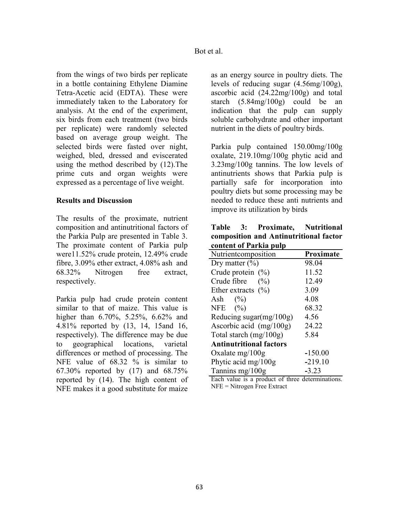from the wings of two birds per replicate in a bottle containing Ethylene Diamine Tetra-Acetic acid (EDTA). These were immediately taken to the Laboratory for analysis. At the end of the experiment, six birds from each treatment (two birds per replicate) were randomly selected based on average group weight. The selected birds were fasted over night, weighed, bled, dressed and eviscerated using the method described by (12).The prime cuts and organ weights were expressed as a percentage of live weight.

### **Results and Discussion**

The results of the proximate, nutrient composition and antinutritional factors of the Parkia Pulp are presented in Table 3. The proximate content of Parkia pulp were11.52% crude protein, 12.49% crude fibre, 3.09% ether extract, 4.08% ash and 68.32% Nitrogen free extract, respectively.

Parkia pulp had crude protein content similar to that of maize. This value is higher than 6.70%, 5.25%, 6.62% and 4.81% reported by (13, 14, 15and 16, respectively). The difference may be due to geographical locations, varietal differences or method of processing. The NFE value of 68.32 % is similar to 67.30% reported by (17) and 68.75% reported by (14). The high content of NFE makes it a good substitute for maize

as an energy source in poultry diets. The levels of reducing sugar (4.56mg/100g), ascorbic acid (24.22mg/100g) and total starch (5.84mg/100g) could be an indication that the pulp can supply soluble carbohydrate and other important nutrient in the diets of poultry birds.

Parkia pulp contained 150.00mg/100g oxalate, 219.10mg/100g phytic acid and 3.23mg/100g tannins. The low levels of antinutrients shows that Parkia pulp is partially safe for incorporation into poultry diets but some processing may be needed to reduce these anti nutrients and improve its utilization by birds

|                        |  | Table 3: Proximate, Nutritional        |  |  |  |  |
|------------------------|--|----------------------------------------|--|--|--|--|
|                        |  | composition and Antinutritional factor |  |  |  |  |
| content of Parkia pulp |  |                                        |  |  |  |  |

| content or 1 al ma puip        |           |  |  |  |  |  |  |
|--------------------------------|-----------|--|--|--|--|--|--|
| Nutrientcomposition            | Proximate |  |  |  |  |  |  |
| Dry matter $(\% )$             | 98.04     |  |  |  |  |  |  |
| Crude protein $(\% )$          | 11.52     |  |  |  |  |  |  |
| Crude fibre $(\% )$            | 12.49     |  |  |  |  |  |  |
| Ether extracts $(\% )$         | 3.09      |  |  |  |  |  |  |
| Ash $(\%)$                     | 4.08      |  |  |  |  |  |  |
| NFE $(\% )$                    | 68.32     |  |  |  |  |  |  |
| Reducing sugar $(mg/100g)$     | 4.56      |  |  |  |  |  |  |
| Ascorbic acid $(mg/100g)$      | 24.22     |  |  |  |  |  |  |
| Total starch $(mg/100g)$       | 5.84      |  |  |  |  |  |  |
| <b>Antinutritional factors</b> |           |  |  |  |  |  |  |
| Oxalate $mg/100g$              | $-150.00$ |  |  |  |  |  |  |
| Phytic acid mg/100g            | $-219.10$ |  |  |  |  |  |  |
| Tannins mg/ $100g$             | $-3.23$   |  |  |  |  |  |  |

Each value is a product of three determinations. NFE = Nitrogen Free Extract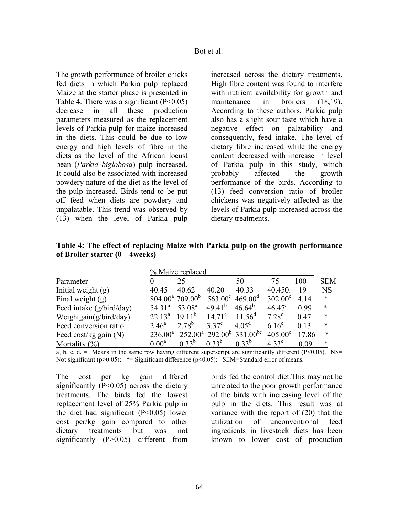The growth performance of broiler chicks fed diets in which Parkia pulp replaced Maize at the starter phase is presented in Table 4. There was a significant  $(P<0.05)$ decrease in all these production parameters measured as the replacement levels of Parkia pulp for maize increased in the diets. This could be due to low energy and high levels of fibre in the diets as the level of the African locust bean (*Parkia biglobosa*) pulp increased. It could also be associated with increased powdery nature of the diet as the level of the pulp increased. Birds tend to be put off feed when diets are powdery and unpalatable. This trend was observed by (13) when the level of Parkia pulp

increased across the dietary treatments. High fibre content was found to interfere with nutrient availability for growth and maintenance in broilers (18,19). According to these authors, Parkia pulp also has a slight sour taste which have a negative effect on palatability and consequently, feed intake. The level of dietary fibre increased while the energy content decreased with increase in level of Parkia pulp in this study, which probably affected the growth performance of the birds. According to (13) feed conversion ratio of broiler chickens was negatively affected as the levels of Parkia pulp increased across the dietary treatments.

| Table 4: The effect of replacing Maize with Parkia pulp on the growth performance |  |  |  |
|-----------------------------------------------------------------------------------|--|--|--|
| of Broiler starter $(0 - 4$ weeks)                                                |  |  |  |

|                                  |                    | % Maize replaced               |                  |                                  |                  |       |            |
|----------------------------------|--------------------|--------------------------------|------------------|----------------------------------|------------------|-------|------------|
| Parameter                        |                    | 25                             |                  | 50                               |                  | 100   | <b>SEM</b> |
| Initial weight $(g)$             | 40.45              | 40.62                          | 40.20            | 40.33                            | 40.450.          | 19    | <b>NS</b>  |
| Final weight $(g)$               |                    | $804.00^a$ 709.00 <sup>b</sup> | $563.00^{\circ}$ | $469.00^{\rm d}$                 | $302.00^e$       | 4.14  | $\ast$     |
| Feed intake (g/bird/day)         | $54.31^{\circ}$    | 53.08 <sup>a</sup>             | $49.41^{b}$      | $46.64^{b}$                      | $46.47^{\circ}$  | 0.99  | $\ast$     |
| Weightgain $(g/bird/day)$        | 22.13 <sup>a</sup> | $1911^b$                       | $14.71^{\circ}$  | $11.56^{\text{d}}$               | $7.28^e$         | 0.47  | $\ast$     |
| Feed conversion ratio            | $2.46^{\circ}$     | $2.78^{b}$                     | $3.37^{\circ}$   | $4.05^{\rm d}$                   | $6.16^e$         | 0.13  | $\ast$     |
| Feed cost/kg gain $(\mathbb{A})$ | $236.00^a$         |                                |                  | $252.00^a$ $292.00^b$ $331.00^b$ | $405.00^{\circ}$ | 17.86 | $\ast$     |
| Mortality $(\%)$                 | 0.00 <sup>a</sup>  | $0.33^{b}$                     | $0.33^{b}$       | $0.33^{b}$                       | $4.33^{\circ}$   | 0.09  | $\ast$     |

a, b, c, d, = Means in the same row having different superscript are significantly different (P<0.05). NS= Not significant (p>0.05):  $* =$  Significant difference (p<0.05): SEM=Standard error of means.

The cost per kg gain differed significantly  $(P<0.05)$  across the dietary treatments. The birds fed the lowest replacement level of 25% Parkia pulp in the diet had significant (P<0.05) lower cost per/kg gain compared to other dietary treatments but was not significantly (P>0.05) different from

birds fed the control diet.This may not be unrelated to the poor growth performance of the birds with increasing level of the pulp in the diets. This result was at variance with the report of (20) that the utilization of unconventional feed ingredients in livestock diets has been known to lower cost of production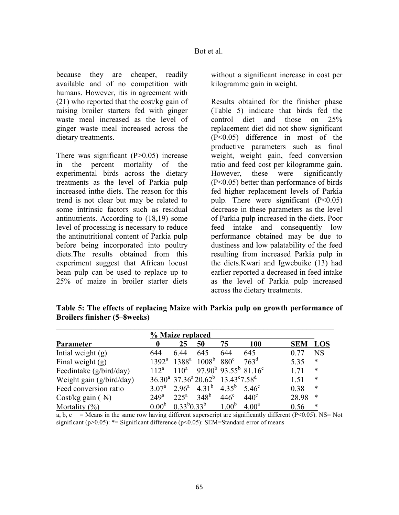because they are cheaper, readily available and of no competition with humans. However, itis in agreement with (21) who reported that the cost/kg gain of raising broiler starters fed with ginger waste meal increased as the level of ginger waste meal increased across the dietary treatments.

There was significant  $(P>0.05)$  increase in the percent mortality of the experimental birds across the dietary treatments as the level of Parkia pulp increased inthe diets. The reason for this trend is not clear but may be related to some intrinsic factors such as residual antinutrients. According to (18,19) some level of processing is necessary to reduce the antinutritional content of Parkia pulp before being incorporated into poultry diets.The results obtained from this experiment suggest that African locust bean pulp can be used to replace up to 25% of maize in broiler starter diets

without a significant increase in cost per kilogramme gain in weight.

Results obtained for the finisher phase (Table 5) indicate that birds fed the control diet and those on 25% replacement diet did not show significant (P<0.05) difference in most of the productive parameters such as final weight, weight gain, feed conversion ratio and feed cost per kilogramme gain. However, these were significantly (P<0.05) better than performance of birds fed higher replacement levels of Parkia pulp. There were significant  $(P<0.05)$ decrease in these parameters as the level of Parkia pulp increased in the diets. Poor feed intake and consequently low performance obtained may be due to dustiness and low palatability of the feed resulting from increased Parkia pulp in the diets.Kwari and Igwebuike (13) had earlier reported a decreased in feed intake as the level of Parkia pulp increased across the dietary treatments.

|                             |                  | % Maize replaced                                      |                                                                                      |                               |                  |       |            |
|-----------------------------|------------------|-------------------------------------------------------|--------------------------------------------------------------------------------------|-------------------------------|------------------|-------|------------|
| Parameter                   | 0                | 25                                                    | 50                                                                                   | 75                            | <b>100</b>       | SEM   | <b>LOS</b> |
| Intial weight $(g)$         | 644              | 6.44                                                  | 645                                                                                  | 644                           | 645              | 0.77  | <b>NS</b>  |
| Final weight $(g)$          |                  |                                                       | $1392^a$ $1388^a$ $1008^b$                                                           | $880^\circ$                   | 763 <sup>d</sup> | 5.35  | *          |
| Feedintake (g/bird/day)     | $112^a$          | $110^a$                                               |                                                                                      | $97.90^b$ $93.55^b$ $81.16^c$ |                  | 1.71  | *          |
| Weight gain (g/bird/day)    |                  |                                                       | $36.30^a$ 37.36 <sup>a</sup> 20.62 <sup>b</sup> 13.43 <sup>c</sup> 7.58 <sup>d</sup> |                               |                  | 1.51  | $\ast$     |
| Feed conversion ratio       |                  | 3.07 <sup>a</sup> 2.96 <sup>a</sup> 4.31 <sup>b</sup> |                                                                                      | $4.35^{b}$                    | $5.46^{\circ}$   | 0.38  | $\ast$     |
| Cost/kg gain $(\mathbb{H})$ | 249 <sup>a</sup> | $225^{\mathrm{a}}$                                    | $348^{b}$                                                                            | $446^\circ$                   | $440^\circ$      | 28.98 | *          |
| Mortality $(\%)$            |                  | $0.00^b$ $0.33^b 0.33^b$                              |                                                                                      | 1.00 <sup>b</sup>             | $4.00^{\rm a}$   | 0.56  | $\ast$     |

**Table 5: The effects of replacing Maize with Parkia pulp on growth performance of Broilers finisher (5–8weeks)** 

a, b, c = Means in the same row having different superscript are significantly different (P<0.05). NS= Not significant (p>0.05): \*= Significant difference (p<0.05): SEM=Standard error of means

 $0.33^{b}0.33^{b}$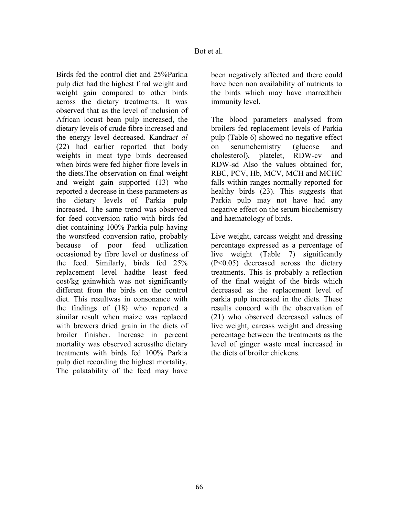Birds fed the control diet and 25%Parkia pulp diet had the highest final weight and weight gain compared to other birds across the dietary treatments. It was observed that as the level of inclusion of African locust bean pulp increased, the dietary levels of crude fibre increased and the energy level decreased. Kandra*et al*  (22) had earlier reported that body weights in meat type birds decreased when birds were fed higher fibre levels in the diets.The observation on final weight and weight gain supported (13) who reported a decrease in these parameters as the dietary levels of Parkia pulp increased. The same trend was observed for feed conversion ratio with birds fed diet containing 100% Parkia pulp having the worstfeed conversion ratio, probably because of poor feed utilization occasioned by fibre level or dustiness of the feed. Similarly, birds fed 25% replacement level hadthe least feed cost/kg gainwhich was not significantly different from the birds on the control diet. This resultwas in consonance with the findings of (18) who reported a similar result when maize was replaced with brewers dried grain in the diets of broiler finisher. Increase in percent mortality was observed acrossthe dietary treatments with birds fed 100% Parkia pulp diet recording the highest mortality. The palatability of the feed may have

been negatively affected and there could have been non availability of nutrients to the birds which may have marredtheir immunity level.

The blood parameters analysed from broilers fed replacement levels of Parkia pulp (Table 6) showed no negative effect on serumchemistry (glucose and cholesterol), platelet, RDW-cv and RDW-sd Also the values obtained for, RBC, PCV, Hb, MCV, MCH and MCHC falls within ranges normally reported for healthy birds (23). This suggests that Parkia pulp may not have had any negative effect on the serum biochemistry and haematology of birds.

Live weight, carcass weight and dressing percentage expressed as a percentage of live weight (Table 7) significantly (P<0.05) decreased across the dietary treatments. This is probably a reflection of the final weight of the birds which decreased as the replacement level of parkia pulp increased in the diets. These results concord with the observation of (21) who observed decreased values of live weight, carcass weight and dressing percentage between the treatments as the level of ginger waste meal increased in the diets of broiler chickens.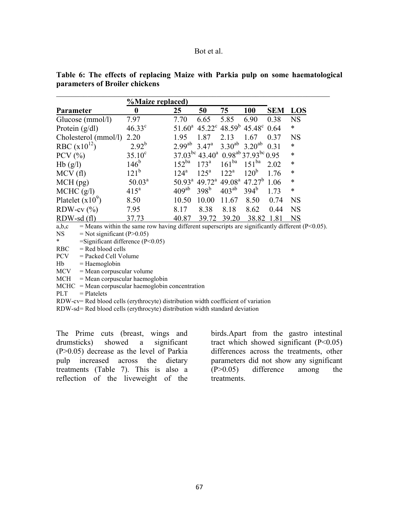| <b>%Maize replaced</b> ) |                 |                   |                    |                   |                                                                             |            |            |  |
|--------------------------|-----------------|-------------------|--------------------|-------------------|-----------------------------------------------------------------------------|------------|------------|--|
| <b>Parameter</b>         | 0               | 25                | 50                 | 75                | 100                                                                         | <b>SEM</b> | <b>LOS</b> |  |
| Glucose (mmol/l)         | 7.97            | 7.70              | 6.65               | 5.85              | 6.90                                                                        | 0.38       | <b>NS</b>  |  |
| Protein $(g/dl)$         | $46.33^{\circ}$ |                   |                    |                   | $51.60^a$ 45.22 <sup>c</sup> 48.59 <sup>b</sup> 45.48 <sup>c</sup>          | 0.64       | $\ast$     |  |
| Cholesterol (mmol/l)     | 2.20            | 1.95              | 1.87               | 2.13              | 1.67                                                                        | 0.37       | <b>NS</b>  |  |
| RBC $(x10^{12})$         | $2.92^{b}$      | $2.99^{ab}$       | $3.47^{\circ}$     | $3.30^{ab}$       | $3.20^{ab}$                                                                 | 0.31       | $\ast$     |  |
| PCV $(\% )$              | $35.10^{\circ}$ |                   |                    |                   | $37.03^{bc}$ 43.40 <sup>a</sup> 0.98 <sup>ab</sup> 37.93 <sup>bc</sup> 0.95 |            | $\ast$     |  |
| Hb(g/l)                  | $146^{\circ}$   | 152 <sup>ba</sup> | $173^{\rm a}$      | 161 <sup>ba</sup> | 151 <sup>ba</sup>                                                           | 2.02       | $\ast$     |  |
| MCV(f)                   | $121^{\rm b}$   | 124 <sup>a</sup>  | 125 <sup>a</sup>   | $122^a$           | 120 <sup>b</sup>                                                            | 1.76       | $\ast$     |  |
| $MCH$ (pg)               | $50.03^a$       | $50.93^{\circ}$   | $49.72^{\text{a}}$ |                   | $49.08^{\text{a}}$ 47.27 <sup>b</sup>                                       | 1.06       | $\ast$     |  |
| MCHC (g/l)               | $415^a$         | $409^{ab}$        | 398 <sup>b</sup>   | $403^{ab}$        | 394 <sup>b</sup>                                                            | 1.73       | $\ast$     |  |
| Platelet $(x10^9)$       | 8.50            | 10.50             | 10.00              | 11.67             | 8.50                                                                        | 0.74       | <b>NS</b>  |  |
| RDW-cv $(\%)$            | 7.95            | 8.17              | 8.38               | 8.18              | 8.62                                                                        | 0.44       | <b>NS</b>  |  |
| $RDW$ -sd $(f1)$         | 37.73           | 40.87             | 39.72              | 39.20             | 38.82                                                                       | 1.81       | <b>NS</b>  |  |

**Table 6: The effects of replacing Maize with Parkia pulp on some haematological parameters of Broiler chickens** 

\_\_\_\_\_\_\_\_\_\_\_\_\_\_\_\_\_\_\_\_\_\_\_\_\_\_\_\_\_\_\_\_\_\_\_\_\_\_\_\_\_\_\_\_\_\_\_\_\_\_\_\_\_\_\_\_\_\_\_\_\_\_\_\_\_\_\_\_\_\_

a,b,c = Means within the same row having different superscripts are significantly different (P<0.05).

NS  $=$  Not significant (P $> 0.05$ )

 $=$ Significant difference (P<0.05)

 $RBC = Red blood cells$ 

PCV = Packed Cell Volume

 $Hb = Haemoglobin$ 

 $MCV = Mean$  corpuscular volume

 $MCH$  = Mean corpuscular haemoglobin

 $MCHC = Mean$  corpuscular haemoglobin concentration

 $PLT = Platelets$ 

RDW-cv= Red blood cells (erythrocyte) distribution width coefficient of variation

RDW-sd=Red blood cells (erythrocyte) distribution width standard deviation

The Prime cuts (breast, wings and drumsticks) showed a significant (P>0.05) decrease as the level of Parkia pulp increased across the dietary treatments (Table 7). This is also a reflection of the liveweight of the

birds.Apart from the gastro intestinal tract which showed significant  $(P<0.05)$ differences across the treatments, other parameters did not show any significant (P>0.05) difference among the **treatments**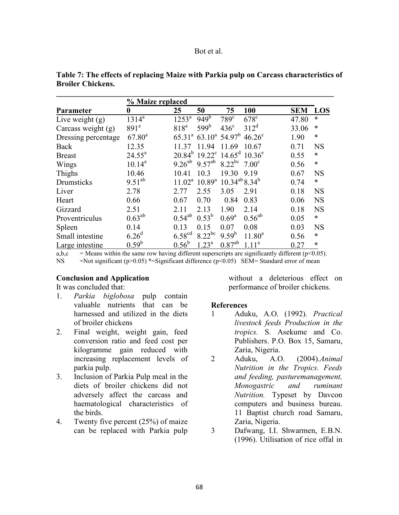|                      | % Maize replaced   |                    |                                                                    |                               |                   |            |           |
|----------------------|--------------------|--------------------|--------------------------------------------------------------------|-------------------------------|-------------------|------------|-----------|
| Parameter            | 0                  | 25                 | 50                                                                 | 75                            | 100               | <b>SEM</b> | LOS       |
| Live weight $(g)$    | $1314^{a}$         | 1253 <sup>a</sup>  | $949^{\overline{b}}$                                               | $789^\circ$                   | $678^\circ$       | 47.80      | $\ast$    |
| Carcass weight $(g)$ | 891 <sup>a</sup>   | 818 <sup>a</sup>   | 599 <sup>b</sup>                                                   | $436^{\circ}$                 | $312^d$           | 33.06      | $\ast$    |
| Dressing percentage  | 67.80 <sup>a</sup> |                    | $65.31^a$ $63.10^a$ $54.97^b$                                      |                               | $46.26^{\circ}$   | 1.90       | $\ast$    |
| Back                 | 12.35              | 11.37              | 11.94                                                              | 11.69                         | 10.67             | 0.71       | <b>NS</b> |
| <b>Breast</b>        | $24.55^a$          |                    | $20.84^b$ 19.22 <sup>c</sup> 14.65 <sup>d</sup> 10.36 <sup>e</sup> |                               |                   | 0.55       | $\ast$    |
| Wings                | $10.14^a$          | $9.26^{ab}$        | $9.57^{ab}$                                                        | $8.22^{bc}$ 7.00 <sup>c</sup> |                   | 0.56       | $\ast$    |
| Thighs               | 10.46              | 10.41              | 10.3                                                               | 19.30                         | 9.19              | 0.67       | <b>NS</b> |
| Drumsticks           | $9.51^{ab}$        |                    | $11.02^a$ 10.89 <sup>a</sup> 10.34 <sup>ab</sup> 8.34 <sup>b</sup> |                               |                   | 0.74       | $\ast$    |
| Liver                | 2.78               | 2.77               | 2.55                                                               | 3.05                          | 2.91              | 0.18       | <b>NS</b> |
| Heart                | 0.66               | 0.67               | 0.70                                                               | 0.84                          | 0.83              | 0.06       | <b>NS</b> |
| Gizzard              | 2.51               | 2.11               | 2.13                                                               | 1.90                          | 2.14              | 0.18       | <b>NS</b> |
| Proventriculus       | $0.63^{ab}$        | $0.54^{ab}$        | $0.53^{b}$                                                         | $0.69^{\rm a}$                | $0.56^{ab}$       | 0.05       | $\ast$    |
| Spleen               | 0.14               | 0.13               | 0.15                                                               | 0.07                          | 0.08              | 0.03       | <b>NS</b> |
| Small intestine      | 6.26 <sup>d</sup>  | 6.58 <sup>cd</sup> | $8.22^{bc}$                                                        | $9.59^{b}$                    | $11.80^a$         | 0.56       | $\ast$    |
| Large intestine      | $0.59^{\rm b}$     | $0.56^{\rm b}$     | $1.23^a$                                                           | $0.87^{ab}$                   | 1.11 <sup>a</sup> | 0.27       | $\ast$    |

| Table 7: The effects of replacing Maize with Parkia pulp on Carcass characteristics of |  |
|----------------------------------------------------------------------------------------|--|
| <b>Broiler Chickens.</b>                                                               |  |

**\_\_\_\_\_\_\_\_\_\_\_\_\_\_\_\_\_\_\_\_\_\_\_\_\_\_\_\_\_\_\_\_\_\_\_\_\_\_\_\_\_\_\_\_\_\_\_\_\_\_\_\_\_\_\_\_\_\_\_\_\_\_\_\_\_\_\_\_\_\_\_** 

a,b,c = Means within the same row having different superscripts are significantly different (p<0.05).<br>NS = Not significant (p>0.05) \*= Significant difference (p<0.05). SEM= Standard error of mean =Not significant (p>0.05) \*=Significant difference (p<0.05) SEM= Standard error of mean

## **Conclusion and Application**

It was concluded that:

- 1. *Parkia biglobosa* pulp contain valuable nutrients that can be harnessed and utilized in the diets of broiler chickens
- 2. Final weight, weight gain, feed conversion ratio and feed cost per kilogramme gain reduced with increasing replacement levels of parkia pulp.
- 3. Inclusion of Parkia Pulp meal in the diets of broiler chickens did not adversely affect the carcass and haematological characteristics of the birds.
- 4. Twenty five percent (25%) of maize can be replaced with Parkia pulp

without a deleterious effect on performance of broiler chickens.

# **References**

- 1 Aduku, A.O. (1992). *Practical livestock feeds Production in the tropics.* S. Asekume and Co. Publishers. P.O. Box 15, Samaru, Zaria, Nigeria.
- 2 Aduku, A.O. (2004).*Animal utrition in the Tropics. Feeds and feeding, pasturemanagement, Monogastric and ruminant utrition.* Typeset by Davcon computers and business bureau. 11 Baptist church road Samaru, Zaria, Nigeria.
- 3 Dafwang, I.I. Shwarmen, E.B.N. (1996). Utilisation of rice offal in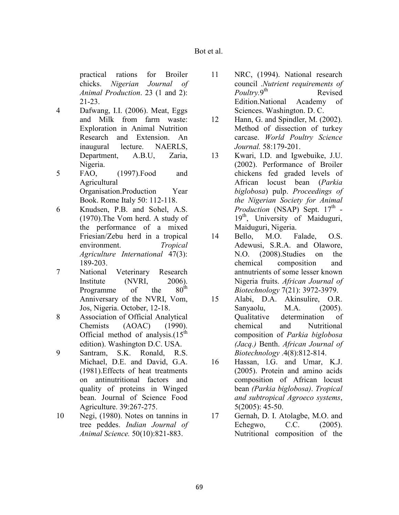practical rations for Broiler chicks. *Nigerian Journal of Animal Production*. 23 (1 and 2): 21-23.

- 4 Dafwang, I.I. (2006). Meat, Eggs and Milk from farm waste: Exploration in Animal Nutrition Research and Extension. An inaugural lecture. NAERLS, Department, A.B.U, Zaria, Nigeria.
- 5 FAO, (1997).Food and Agricultural Organisation.Production Year Book. Rome Italy 50: 112-118.
- 6 Knudsen, P.B. and Sohel, A.S. (1970).The Vom herd. A study of the performance of a mixed Friesian/Zebu herd in a tropical environment. *Tropical Agriculture International* 47(3): 189-203.
- 7 National Veterinary Research Institute (NVRI, 2006).<br>Programme of the 80<sup>th</sup> Programme of the Anniversary of the NVRI, Vom, Jos, Nigeria. October, 12-18.
- 8 Association of Official Analytical Chemists (AOAC) (1990). Official method of analysis. $(15<sup>th</sup>$ edition). Washington D.C. USA.
- 9 Santram, S.K. Ronald, R.S. Michael, D.E. and David, G.A. (1981).Effects of heat treatments on antinutritional factors and quality of proteins in Winged bean. Journal of Science Food Agriculture. 39:267-275.
- 10 Negi, (1980). Notes on tannins in tree peddes. *Indian Journal of Animal Science.* 50(10):821-883.
- 11 NRC, (1994). National research council .*Nutrient requirements of Poultry.*9 Revised Edition.National Academy of Sciences. Washington. D. C.
- 12 Hann, G. and Spindler, M. (2002). Method of dissection of turkey carcase. *World Poultry Science Journal.* 58:179-201.
- 13 Kwari, I.D. and Igwebuike, J.U. (2002). Performance of Broiler chickens fed graded levels of African locust bean (*Parkia biglobosa*) pulp. *Proceedings of the Nigerian Society for Animal* Production (NSAP) Sept. 17<sup>th</sup> -19<sup>th</sup>, University of Maiduguri, Maiduguri, Nigeria.
- 14 Bello, M.O. Falade, O.S. Adewusi, S.R.A. and Olawore, N.O. (2008).Studies on the chemical composition and antnutrients of some lesser known Nigeria fruits. *African Journal of Biotechnology* 7(21): 3972-3979.
- 15 Alabi, D.A. Akinsulire, O.R. Sanyaolu, M.A. (2005). Qualitative determination of chemical and Nutritional composition of *Parkia biglobosa (Jacq.)* Benth. *African Journal of Biotechnology* .4(8):812-814.
- 16 Hassan, l.G. and Umar, K.J. (2005). Protein and amino acids composition of African locust bean *(Parkia biglobosa)*. *Tropical and subtropical Agroeco systems*, 5(2005): 45-50.
- 17 Gernah, D. I. Atolagbe, M.O. and Echegwo, C.C. (2005). Nutritional composition of the